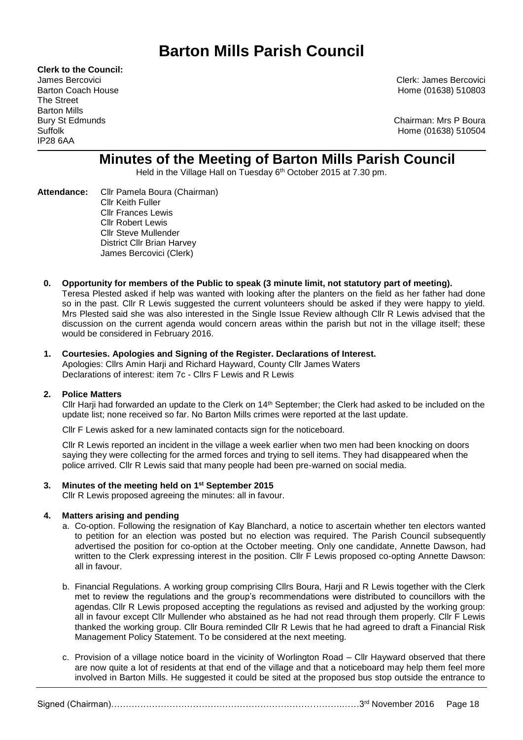# **Barton Mills Parish Council**

**Clerk to the Council:** The Street Barton Mills IP28 6AA

James Bercovici Clerk: James Bercovici Barton Coach House **Home (01638)** 510803

Bury St Edmunds **Chairman: Mrs P Boura** Suffolk Home (01638) 510504

# **Minutes of the Meeting of Barton Mills Parish Council**

Held in the Village Hall on Tuesday 6<sup>th</sup> October 2015 at 7.30 pm.

- **Attendance:** Cllr Pamela Boura (Chairman) Cllr Keith Fuller Cllr Frances Lewis Cllr Robert Lewis Cllr Steve Mullender District Cllr Brian Harvey James Bercovici (Clerk)
	- **0. Opportunity for members of the Public to speak (3 minute limit, not statutory part of meeting).** Teresa Plested asked if help was wanted with looking after the planters on the field as her father had done so in the past. Cllr R Lewis suggested the current volunteers should be asked if they were happy to yield. Mrs Plested said she was also interested in the Single Issue Review although Cllr R Lewis advised that the discussion on the current agenda would concern areas within the parish but not in the village itself; these would be considered in February 2016.

# **1. Courtesies. Apologies and Signing of the Register. Declarations of Interest.** Apologies: Clirs Amin Harij and Richard Hayward, County Cllr James Waters

Declarations of interest: item 7c - Cllrs F Lewis and R Lewis

# **2. Police Matters**

Cllr Harji had forwarded an update to the Clerk on 14<sup>th</sup> September; the Clerk had asked to be included on the update list; none received so far. No Barton Mills crimes were reported at the last update.

Cllr F Lewis asked for a new laminated contacts sign for the noticeboard.

Cllr R Lewis reported an incident in the village a week earlier when two men had been knocking on doors saying they were collecting for the armed forces and trying to sell items. They had disappeared when the police arrived. Cllr R Lewis said that many people had been pre-warned on social media.

# **3. Minutes of the meeting held on 1 st September 2015**

Cllr R Lewis proposed agreeing the minutes: all in favour.

# **4. Matters arising and pending**

- a. Co-option. Following the resignation of Kay Blanchard, a notice to ascertain whether ten electors wanted to petition for an election was posted but no election was required. The Parish Council subsequently advertised the position for co-option at the October meeting. Only one candidate, Annette Dawson, had written to the Clerk expressing interest in the position. Cllr F Lewis proposed co-opting Annette Dawson: all in favour.
- b. Financial Regulations. A working group comprising Cllrs Boura, Harji and R Lewis together with the Clerk met to review the regulations and the group's recommendations were distributed to councillors with the agendas. Cllr R Lewis proposed accepting the regulations as revised and adjusted by the working group: all in favour except Cllr Mullender who abstained as he had not read through them properly. Cllr F Lewis thanked the working group. Cllr Boura reminded Cllr R Lewis that he had agreed to draft a Financial Risk Management Policy Statement. To be considered at the next meeting.
- c. Provision of a village notice board in the vicinity of Worlington Road Cllr Hayward observed that there are now quite a lot of residents at that end of the village and that a noticeboard may help them feel more involved in Barton Mills. He suggested it could be sited at the proposed bus stop outside the entrance to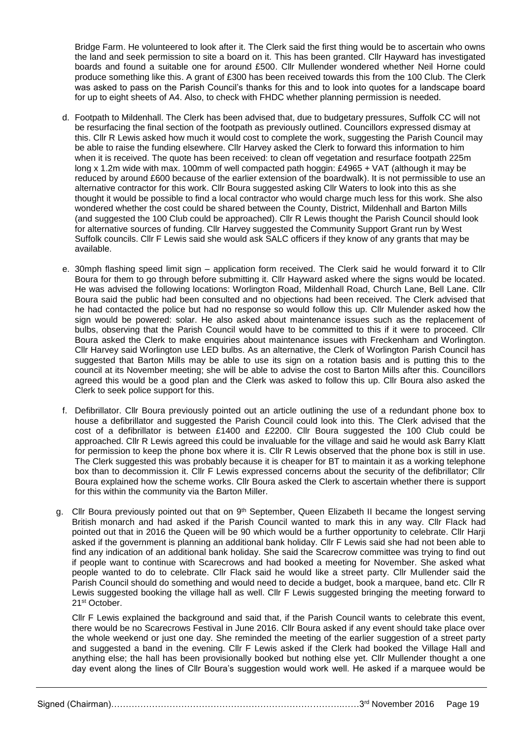Bridge Farm. He volunteered to look after it. The Clerk said the first thing would be to ascertain who owns the land and seek permission to site a board on it. This has been granted. Cllr Hayward has investigated boards and found a suitable one for around £500. Cllr Mullender wondered whether Neil Horne could produce something like this. A grant of £300 has been received towards this from the 100 Club. The Clerk was asked to pass on the Parish Council's thanks for this and to look into quotes for a landscape board for up to eight sheets of A4. Also, to check with FHDC whether planning permission is needed.

- d. Footpath to Mildenhall. The Clerk has been advised that, due to budgetary pressures, Suffolk CC will not be resurfacing the final section of the footpath as previously outlined. Councillors expressed dismay at this. Cllr R Lewis asked how much it would cost to complete the work, suggesting the Parish Council may be able to raise the funding elsewhere. Cllr Harvey asked the Clerk to forward this information to him when it is received. The quote has been received: to clean off vegetation and resurface footpath 225m long x 1.2m wide with max. 100mm of well compacted path hoggin: £4965 + VAT (although it may be reduced by around £600 because of the earlier extension of the boardwalk). It is not permissible to use an alternative contractor for this work. Cllr Boura suggested asking Cllr Waters to look into this as she thought it would be possible to find a local contractor who would charge much less for this work. She also wondered whether the cost could be shared between the County, District, Mildenhall and Barton Mills (and suggested the 100 Club could be approached). Cllr R Lewis thought the Parish Council should look for alternative sources of funding. Cllr Harvey suggested the Community Support Grant run by West Suffolk councils. Cllr F Lewis said she would ask SALC officers if they know of any grants that may be available.
- e. 30mph flashing speed limit sign application form received. The Clerk said he would forward it to Cllr Boura for them to go through before submitting it. Cllr Hayward asked where the signs would be located. He was advised the following locations: Worlington Road, Mildenhall Road, Church Lane, Bell Lane. Cllr Boura said the public had been consulted and no objections had been received. The Clerk advised that he had contacted the police but had no response so would follow this up. Cllr Mulender asked how the sign would be powered: solar. He also asked about maintenance issues such as the replacement of bulbs, observing that the Parish Council would have to be committed to this if it were to proceed. Cllr Boura asked the Clerk to make enquiries about maintenance issues with Freckenham and Worlington. Cllr Harvey said Worlington use LED bulbs. As an alternative, the Clerk of Worlington Parish Council has suggested that Barton Mills may be able to use its sign on a rotation basis and is putting this to the council at its November meeting; she will be able to advise the cost to Barton Mills after this. Councillors agreed this would be a good plan and the Clerk was asked to follow this up. Cllr Boura also asked the Clerk to seek police support for this.
- f. Defibrillator. Cllr Boura previously pointed out an article outlining the use of a redundant phone box to house a defibrillator and suggested the Parish Council could look into this. The Clerk advised that the cost of a defibrillator is between £1400 and £2200. Cllr Boura suggested the 100 Club could be approached. Cllr R Lewis agreed this could be invaluable for the village and said he would ask Barry Klatt for permission to keep the phone box where it is. Cllr R Lewis observed that the phone box is still in use. The Clerk suggested this was probably because it is cheaper for BT to maintain it as a working telephone box than to decommission it. Cllr F Lewis expressed concerns about the security of the defibrillator; Cllr Boura explained how the scheme works. Cllr Boura asked the Clerk to ascertain whether there is support for this within the community via the Barton Miller.
- g. Cllr Boura previously pointed out that on 9<sup>th</sup> September, Queen Elizabeth II became the longest serving British monarch and had asked if the Parish Council wanted to mark this in any way. Cllr Flack had pointed out that in 2016 the Queen will be 90 which would be a further opportunity to celebrate. Cllr Harji asked if the government is planning an additional bank holiday. Cllr F Lewis said she had not been able to find any indication of an additional bank holiday. She said the Scarecrow committee was trying to find out if people want to continue with Scarecrows and had booked a meeting for November. She asked what people wanted to do to celebrate. Cllr Flack said he would like a street party. Cllr Mullender said the Parish Council should do something and would need to decide a budget, book a marquee, band etc. Cllr R Lewis suggested booking the village hall as well. Cllr F Lewis suggested bringing the meeting forward to 21st October.

Cllr F Lewis explained the background and said that, if the Parish Council wants to celebrate this event, there would be no Scarecrows Festival in June 2016. Cllr Boura asked if any event should take place over the whole weekend or just one day. She reminded the meeting of the earlier suggestion of a street party and suggested a band in the evening. Cllr F Lewis asked if the Clerk had booked the Village Hall and anything else; the hall has been provisionally booked but nothing else yet. Cllr Mullender thought a one day event along the lines of Cllr Boura's suggestion would work well. He asked if a marquee would be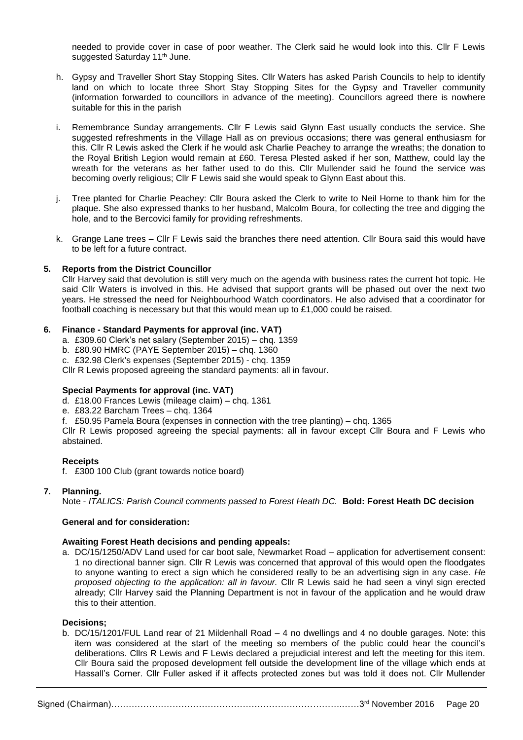needed to provide cover in case of poor weather. The Clerk said he would look into this. Cllr F Lewis suggested Saturday 11<sup>th</sup> June.

- h. Gypsy and Traveller Short Stay Stopping Sites. Cllr Waters has asked Parish Councils to help to identify land on which to locate three Short Stay Stopping Sites for the Gypsy and Traveller community (information forwarded to councillors in advance of the meeting). Councillors agreed there is nowhere suitable for this in the parish
- i. Remembrance Sunday arrangements. Cllr F Lewis said Glynn East usually conducts the service. She suggested refreshments in the Village Hall as on previous occasions; there was general enthusiasm for this. Cllr R Lewis asked the Clerk if he would ask Charlie Peachey to arrange the wreaths; the donation to the Royal British Legion would remain at £60. Teresa Plested asked if her son, Matthew, could lay the wreath for the veterans as her father used to do this. Cllr Mullender said he found the service was becoming overly religious; Cllr F Lewis said she would speak to Glynn East about this.
- j. Tree planted for Charlie Peachey: Cllr Boura asked the Clerk to write to Neil Horne to thank him for the plaque. She also expressed thanks to her husband, Malcolm Boura, for collecting the tree and digging the hole, and to the Bercovici family for providing refreshments.
- k. Grange Lane trees Cllr F Lewis said the branches there need attention. Cllr Boura said this would have to be left for a future contract.

# **5. Reports from the District Councillor**

Cllr Harvey said that devolution is still very much on the agenda with business rates the current hot topic. He said Cllr Waters is involved in this. He advised that support grants will be phased out over the next two years. He stressed the need for Neighbourhood Watch coordinators. He also advised that a coordinator for football coaching is necessary but that this would mean up to £1,000 could be raised.

#### **6. Finance - Standard Payments for approval (inc. VAT)**

- a. £309.60 Clerk's net salary (September 2015) chq. 1359
- b. £80.90 HMRC (PAYE September 2015) chq. 1360
- c. £32.98 Clerk's expenses (September 2015) chq. 1359

Cllr R Lewis proposed agreeing the standard payments: all in favour.

# **Special Payments for approval (inc. VAT)**

- d. £18.00 Frances Lewis (mileage claim) chq. 1361
- e. £83.22 Barcham Trees chq. 1364
- f. £50.95 Pamela Boura (expenses in connection with the tree planting) chq. 1365

Cllr R Lewis proposed agreeing the special payments: all in favour except Cllr Boura and F Lewis who abstained.

#### **Receipts**

f. £300 100 Club (grant towards notice board)

# **7. Planning.**

Note - *ITALICS: Parish Council comments passed to Forest Heath DC.* **Bold: Forest Heath DC decision**

#### **General and for consideration:**

#### **Awaiting Forest Heath decisions and pending appeals:**

a. DC/15/1250/ADV Land used for car boot sale, Newmarket Road – application for advertisement consent: 1 no directional banner sign. Cllr R Lewis was concerned that approval of this would open the floodgates to anyone wanting to erect a sign which he considered really to be an advertising sign in any case. *He proposed objecting to the application: all in favour.* Cllr R Lewis said he had seen a vinyl sign erected already; Cllr Harvey said the Planning Department is not in favour of the application and he would draw this to their attention.

#### **Decisions;**

b. DC/15/1201/FUL Land rear of 21 Mildenhall Road – 4 no dwellings and 4 no double garages. Note: this item was considered at the start of the meeting so members of the public could hear the council's deliberations. Cllrs R Lewis and F Lewis declared a prejudicial interest and left the meeting for this item. Cllr Boura said the proposed development fell outside the development line of the village which ends at Hassall's Corner. Cllr Fuller asked if it affects protected zones but was told it does not. Cllr Mullender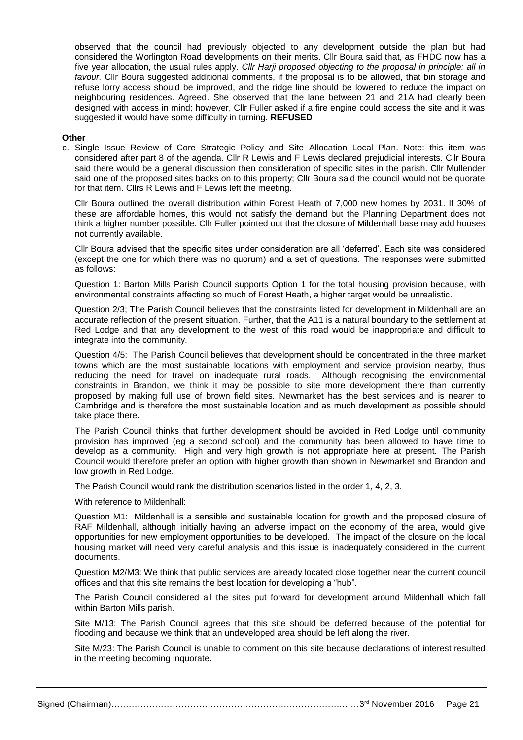observed that the council had previously objected to any development outside the plan but had considered the Worlington Road developments on their merits. Cllr Boura said that, as FHDC now has a five year allocation, the usual rules apply. *Cllr Harji proposed objecting to the proposal in principle: all in favour.* Cllr Boura suggested additional comments, if the proposal is to be allowed, that bin storage and refuse lorry access should be improved, and the ridge line should be lowered to reduce the impact on neighbouring residences. Agreed. She observed that the lane between 21 and 21A had clearly been designed with access in mind; however, Cllr Fuller asked if a fire engine could access the site and it was suggested it would have some difficulty in turning. **REFUSED**

#### **Other**

c. Single Issue Review of Core Strategic Policy and Site Allocation Local Plan. Note: this item was considered after part 8 of the agenda. Cllr R Lewis and F Lewis declared prejudicial interests. Cllr Boura said there would be a general discussion then consideration of specific sites in the parish. Cllr Mullender said one of the proposed sites backs on to this property; Cllr Boura said the council would not be quorate for that item. Cllrs R Lewis and F Lewis left the meeting.

Cllr Boura outlined the overall distribution within Forest Heath of 7,000 new homes by 2031. If 30% of these are affordable homes, this would not satisfy the demand but the Planning Department does not think a higher number possible. Cllr Fuller pointed out that the closure of Mildenhall base may add houses not currently available.

Cllr Boura advised that the specific sites under consideration are all 'deferred'. Each site was considered (except the one for which there was no quorum) and a set of questions. The responses were submitted as follows:

Question 1: Barton Mills Parish Council supports Option 1 for the total housing provision because, with environmental constraints affecting so much of Forest Heath, a higher target would be unrealistic.

Question 2/3; The Parish Council believes that the constraints listed for development in Mildenhall are an accurate reflection of the present situation. Further, that the A11 is a natural boundary to the settlement at Red Lodge and that any development to the west of this road would be inappropriate and difficult to integrate into the community.

Question 4/5: The Parish Council believes that development should be concentrated in the three market towns which are the most sustainable locations with employment and service provision nearby, thus reducing the need for travel on inadequate rural roads. Although recognising the environmental constraints in Brandon, we think it may be possible to site more development there than currently proposed by making full use of brown field sites. Newmarket has the best services and is nearer to Cambridge and is therefore the most sustainable location and as much development as possible should take place there.

The Parish Council thinks that further development should be avoided in Red Lodge until community provision has improved (eg a second school) and the community has been allowed to have time to develop as a community. High and very high growth is not appropriate here at present. The Parish Council would therefore prefer an option with higher growth than shown in Newmarket and Brandon and low growth in Red Lodge.

The Parish Council would rank the distribution scenarios listed in the order 1, 4, 2, 3.

With reference to Mildenhall:

Question M1: Mildenhall is a sensible and sustainable location for growth and the proposed closure of RAF Mildenhall, although initially having an adverse impact on the economy of the area, would give opportunities for new employment opportunities to be developed. The impact of the closure on the local housing market will need very careful analysis and this issue is inadequately considered in the current documents.

Question M2/M3: We think that public services are already located close together near the current council offices and that this site remains the best location for developing a "hub".

The Parish Council considered all the sites put forward for development around Mildenhall which fall within Barton Mills parish.

Site M/13: The Parish Council agrees that this site should be deferred because of the potential for flooding and because we think that an undeveloped area should be left along the river.

Site M/23: The Parish Council is unable to comment on this site because declarations of interest resulted in the meeting becoming inquorate.

Signed (Chairman)…………………………………………………………………………………………3<sup>rd</sup> November 2016 Page 21